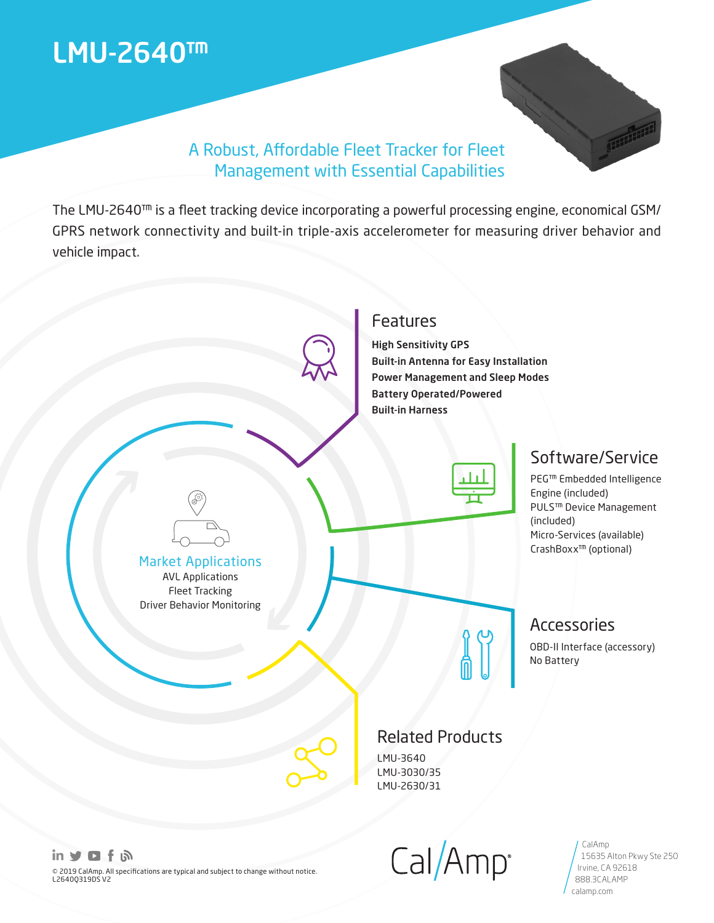# LMU-2640™



Irvine, CA 92618 888.3CALAMP calamp.com

## A Robust, Affordable Fleet Tracker for Fleet Management with Essential Capabilities

The LMU-2640™ is a fleet tracking device incorporating a powerful processing engine, economical GSM/ GPRS network connectivity and built-in triple-axis accelerometer for measuring driver behavior and vehicle impact.



© 2019 CalAmp. All specifications are typical and subject to change without notice. L2640Q319DS V2